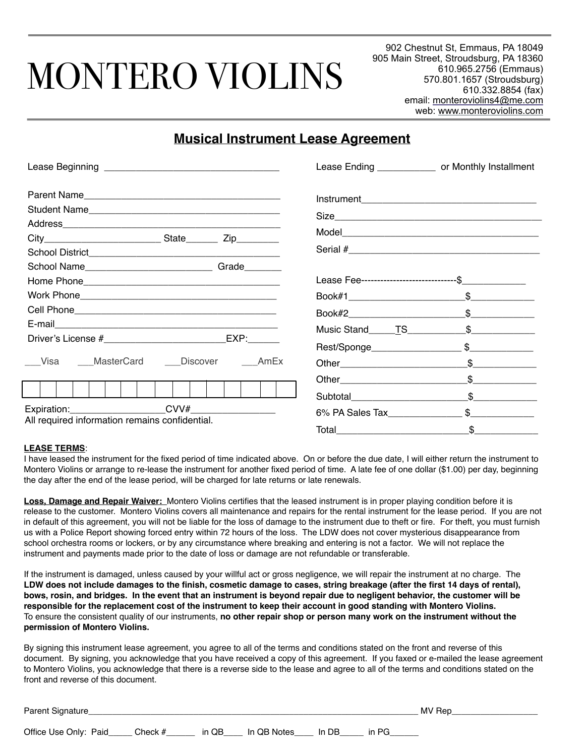# MONTERO VIOLINS

902 Chestnut St, Emmaus, PA 18049 905 Main Street, Stroudsburg, PA 18360 610.965.2756 (Emmaus) 570.801.1657 (Stroudsburg) 610.332.8854 (fax) email: [monteroviolins4@me.com](mailto:monteroviolins4@me.com) web: [www.monteroviolins.com](http://www.monteroviolins.com)

## **Musical Instrument Lease Agreement**

|                                                |                                              | Lease Ending ______________ or Monthly Installment |  |  |
|------------------------------------------------|----------------------------------------------|----------------------------------------------------|--|--|
|                                                |                                              |                                                    |  |  |
|                                                |                                              |                                                    |  |  |
|                                                |                                              |                                                    |  |  |
|                                                |                                              |                                                    |  |  |
|                                                |                                              |                                                    |  |  |
|                                                |                                              |                                                    |  |  |
|                                                |                                              | Lease Fee-----------------------------\$           |  |  |
|                                                |                                              |                                                    |  |  |
|                                                |                                              |                                                    |  |  |
|                                                |                                              |                                                    |  |  |
|                                                |                                              |                                                    |  |  |
|                                                | ___Visa ____MasterCard ____Discover ____AmEx | \$                                                 |  |  |
|                                                |                                              | $\frac{1}{2}$                                      |  |  |
|                                                |                                              | Subtotal \$                                        |  |  |
|                                                |                                              | 6% PA Sales Tax \$                                 |  |  |
| All required information remains confidential. |                                              |                                                    |  |  |

#### **LEASE TERMS**:

I have leased the instrument for the fixed period of time indicated above. On or before the due date, I will either return the instrument to Montero Violins or arrange to re-lease the instrument for another fixed period of time. A late fee of one dollar (\$1.00) per day, beginning the day after the end of the lease period, will be charged for late returns or late renewals.

**Loss, Damage and Repair Waiver:** Montero Violins certifies that the leased instrument is in proper playing condition before it is release to the customer. Montero Violins covers all maintenance and repairs for the rental instrument for the lease period. If you are not in default of this agreement, you will not be liable for the loss of damage to the instrument due to theft or fire. For theft, you must furnish us with a Police Report showing forced entry within 72 hours of the loss. The LDW does not cover mysterious disappearance from school orchestra rooms or lockers, or by any circumstance where breaking and entering is not a factor. We will not replace the instrument and payments made prior to the date of loss or damage are not refundable or transferable.

If the instrument is damaged, unless caused by your willful act or gross negligence, we will repair the instrument at no charge. The **LDW does not include damages to the finish, cosmetic damage to cases, string breakage (after the first 14 days of rental), bows, rosin, and bridges. In the event that an instrument is beyond repair due to negligent behavior, the customer will be responsible for the replacement cost of the instrument to keep their account in good standing with Montero Violins.** To ensure the consistent quality of our instruments, **no other repair shop or person many work on the instrument without the permission of Montero Violins.**

By signing this instrument lease agreement, you agree to all of the terms and conditions stated on the front and reverse of this document. By signing, you acknowledge that you have received a copy of this agreement. If you faxed or e-mailed the lease agreement to Montero Violins, you acknowledge that there is a reverse side to the lease and agree to all of the terms and conditions stated on the front and reverse of this document.

| Parent Signature      | MV Rep  |       |             |       |          |  |
|-----------------------|---------|-------|-------------|-------|----------|--|
| Office Use Only: Paid | Check # | in QB | In QB Notes | In DB | in $P G$ |  |